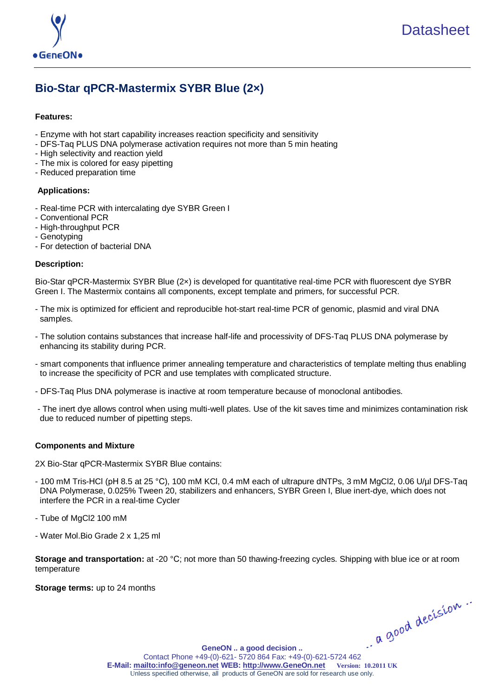

# **Bio-Star qPCR-Mastermix SYBR Blue (2×)**

# **Features:**

- Enzyme with hot start capability increases reaction specificity and sensitivity
- DFS-Taq PLUS DNA polymerase activation requires not more than 5 min heating
- High selectivity and reaction yield
- The mix is colored for easy pipetting
- Reduced preparation time

# **Applications:**

- Real-time PCR with intercalating dye SYBR Green I
- Conventional PCR
- High-throughput PCR
- Genotyping
- For detection of bacterial DNA

# **Description:**

Bio-Star qPCR-Mastermix SYBR Blue (2×) is developed for quantitative real-time PCR with fluorescent dye SYBR Green I. The Mastermix contains all components, except template and primers, for successful PCR.

- The mix is optimized for efficient and reproducible hot-start real-time PCR of genomic, plasmid and viral DNA samples.
- The solution contains substances that increase half-life and processivity of DFS-Taq PLUS DNA polymerase by enhancing its stability during PCR.
- smart components that influence primer annealing temperature and characteristics of template melting thus enabling to increase the specificity of PCR and use templates with complicated structure.
- DFS-Taq Plus DNA polymerase is inactive at room temperature because of monoclonal antibodies.
- The inert dye allows control when using multi-well plates. Use of the kit saves time and minimizes contamination risk due to reduced number of pipetting steps.

# **Components and Mixture**

2X Bio-Star qPCR-Mastermix SYBR Blue contains:

- 100 mM Tris-НCl (рН 8.5 at 25 °С), 100 mM KCl, 0.4 mM each of ultrapure dNTPs, 3 mM MgCl2, 0.06 U/µl DFS-Taq DNA Polymerase, 0.025% Tween 20, stabilizers and enhancers, SYBR Green I, Blue inert-dye, which does not interfere the PCR in a real-time Cycler
- Tube of MgCl2 100 mM
- Water Mol.Bio Grade 2 x 1,25 ml

**Storage and transportation:** at -20 °С; not more than 50 thawing-freezing cycles. Shipping with blue ice or at room temperature

**Storage terms:** up to 24 months

**[GeneON .. a good decision ..](http://www.geneon.net/)** GeneON .. a good decision ..<br>Contact Phone +49-(0)-621- 5720 864 Fax: +49-(0)-621-5724 462 **E-Mail[: mailto:info@geneon.net](mailto:info@geneon.net) WEB: [http://www.GeneOn.net](http://www.geneon.net/) Version: 10.2011 UK** Unless specified otherwise, all products of GeneON are sold for research use only.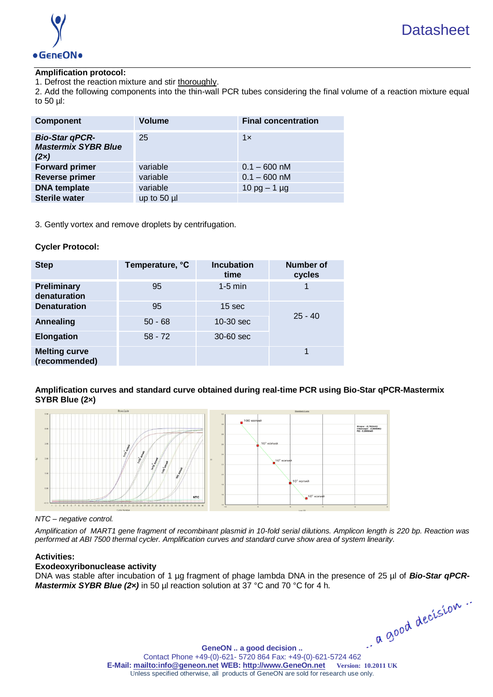

# **Amplification protocol:**

1. Defrost the reaction mixture and stir thoroughly.

2. Add the following components into the thin-wall PCR tubes considering the final volume of a reaction mixture equal to 50 µl:

| <b>Component</b>                                            | <b>Volume</b> | <b>Final concentration</b> |
|-------------------------------------------------------------|---------------|----------------------------|
| <b>Bio-Star qPCR-</b><br><b>Mastermix SYBR Blue</b><br>(2x) | 25            | 1x                         |
| <b>Forward primer</b>                                       | variable      | $0.1 - 600$ nM             |
| <b>Reverse primer</b>                                       | variable      | $0.1 - 600$ nM             |
| <b>DNA</b> template                                         | variable      | 10 pg $-$ 1 µg             |
| <b>Sterile water</b>                                        | up to $50$ µ  |                            |

3. Gently vortex and remove droplets by centrifugation.

# **Cycler Protocol:**

| <b>Step</b>                           | Temperature, °C | <b>Incubation</b><br>time | <b>Number of</b><br>cycles |
|---------------------------------------|-----------------|---------------------------|----------------------------|
| <b>Preliminary</b><br>denaturation    | 95              | $1-5$ min                 |                            |
| <b>Denaturation</b>                   | 95              | 15 sec                    |                            |
| Annealing                             | $50 - 68$       | $10-30$ sec               | $25 - 40$                  |
| <b>Elongation</b>                     | $58 - 72$       | 30-60 sec                 |                            |
| <b>Melting curve</b><br>(recommended) |                 |                           |                            |

**Amplification curves and standard curve obtained during real-time PCR using Bio-Star qPCR-Mastermix SYBR Blue (2×)** 



### *NTC – negative control.*

*Amplification of MART1 gene fragment of recombinant plasmid in 10-fold serial dilutions. Amplicon length is 220 bp. Reaction was performed at ABI 7500 thermal cycler. Amplification curves and standard curve show area of system linearity.*

# **Activities:**

# **Exodeoxyribonuclease activity**

DNA was stable after incubation of 1 µg fragment of phage lambda DNA in the presence of 25 µl of *Bio-Star qPCR-Mastermix SYBR Blue (2x)* in 50 µl reaction solution at 37 °C and 70 °C for 4 h.

**[GeneON .. a good decision ..](http://www.geneon.net/)** GeneON .. a good decision .. <br>Contact Phone +49-(0)-621- 5720 864 Fax: +49-(0)-621-5724 462 **E-Mail[: mailto:info@geneon.net](mailto:info@geneon.net) WEB: [http://www.GeneOn.net](http://www.geneon.net/) Version: 10.2011 UK** Unless specified otherwise, all products of GeneON are sold for research use only.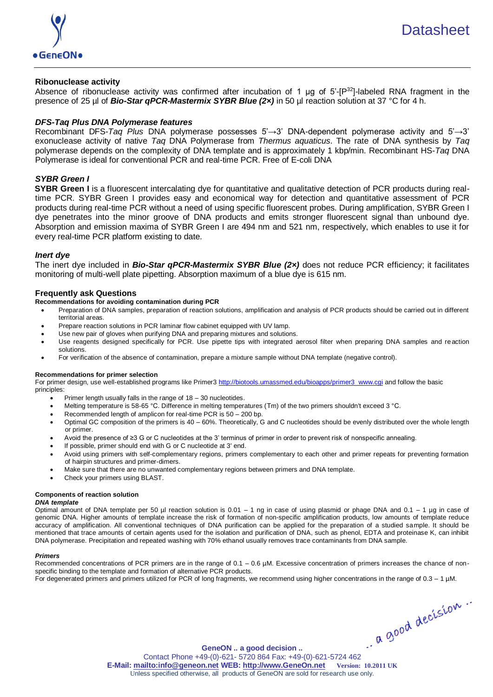

### **Ribonuclease activity**

Absence of ribonuclease activity was confirmed after incubation of 1  $\mu$ g of 5'-[P<sup>32</sup>]-labeled RNA fragment in the presence of 25 µl of *Bio-Star qPCR-Mastermix SYBR Blue (2×)* in 50 µl reaction solution at 37 °C for 4 h.

### *DFS-Taq Plus DNA Polymerase features*

Recombinant DFS-*Taq Plus* DNA polymerase possesses 5'→3' DNA-dependent polymerase activity and 5'→3' exonuclease activity of native *Taq* DNA Polymerase from *Thermus aquaticus*. The rate of DNA synthesis by *Taq*  polymerase depends on the complexity of DNA template and is approximately 1 kbp/min. Recombinant HS-*Taq* DNA Polymerase is ideal for conventional PCR and real-time PCR. Free of E-coli DNA

### *SYBR Green I*

**SYBR Green I** is a fluorescent intercalating dye for quantitative and qualitative detection of PCR products during realtime PCR. SYBR Green I provides easy and economical way for detection and quantitative assessment of PCR products during real-time PCR without a need of using specific fluorescent probes. During amplification, SYBR Green I dye penetrates into the minor groove of DNA products and emits stronger fluorescent signal than unbound dye. Absorption and emission maxima of SYBR Green I are 494 nm and 521 nm, respectively, which enables to use it for every real-time PCR platform existing to date.

### *Inert dye*

The inert dye included in *Bio-Star qPCR-Mastermix SYBR Blue (2×)* does not reduce PCR efficiency; it facilitates monitoring of multi-well plate pipetting. Absorption maximum of a blue dye is 615 nm.

### **Frequently ask Questions**

- **Recommendations for avoiding contamination during PCR**
	- Preparation of DNA samples, preparation of reaction solutions, amplification and analysis of PCR products should be carried out in different territorial areas.
	- Prepare reaction solutions in PCR laminar flow cabinet equipped with UV lamp.
	- Use new pair of gloves when purifying DNA and preparing mixtures and solutions.
	- Use reagents designed specifically for PCR. Use pipette tips with integrated aerosol filter when preparing DNA samples and reaction solutions.
	- For verification of the absence of contamination, prepare a mixture sample without DNA template (negative control).

### **Recommendations for primer selection**

For primer design, use well-established programs like Primer3 [http://biotools.umassmed.edu/bioapps/primer3\\_www.cgi](http://biotools.umassmed.edu/bioapps/primer3_www.cgi) and follow the basic principles:

- Primer length usually falls in the range of 18 30 nucleotides.
- Melting temperature is 58-65 °С. Difference in melting temperatures (Тm) of the two primers shouldn't exceed 3 °С.
- Recommended length of amplicon for real-time PCR is 50 200 bp.
- Optimal GC composition of the primers is 40 60%. Theoretically, G and С nucleotides should be evenly distributed over the whole length or primer.
- Avoid the presence of ≥3 G or C nucleotides at the 3' terminus of primer in order to prevent risk of nonspecific annealing.
- If possible, primer should end with G or C nucleotide at 3' end.
- Avoid using primers with self-complementary regions, primers complementary to each other and primer repeats for preventing formation of hairpin structures and primer-dimers.
- Make sure that there are no unwanted complementary regions between primers and DNA template.
- Check your primers using BLAST.

# **Components of reaction solution**

*DNA template*

Optimal amount of DNA template per 50  $\mu$ l reaction solution is 0.01 – 1 ng in case of using plasmid or phage DNA and 0.1 – 1  $\mu$ g in case of genomic DNA. Higher amounts of template increase the risk of formation of non-specific amplification products, low amounts of template reduce accuracy of amplification. All conventional techniques of DNA purification can be applied for the preparation of a studied sample. It should be mentioned that trace amounts of certain agents used for the isolation and purification of DNA, such as phenol, EDTA and proteinase K, can inhibit DNA polymerase. Precipitation and repeated washing with 70% ethanol usually removes trace contaminants from DNA sample.

### *Primers*

Recommended concentrations of PCR primers are in the range of 0.1 – 0.6 µM. Excessive concentration of primers increases the chance of nonspecific binding to the template and formation of alternative PCR products.

For degenerated primers and primers utilized for PCR of long fragments, we recommend using higher concentrations in the range of 0.3 – 1 µM.

GeneON .. a good decision ..<br>Contact Phone +49-(0)-621- 5720 864 Fax: +49-(0)-621-5724 462

**[GeneON .. a good decision ..](http://www.geneon.net/) E-Mail[: mailto:info@geneon.net](mailto:info@geneon.net) WEB: [http://www.GeneOn.net](http://www.geneon.net/) Version: 10.2011 UK** Unless specified otherwise, all products of GeneON are sold for research use only.